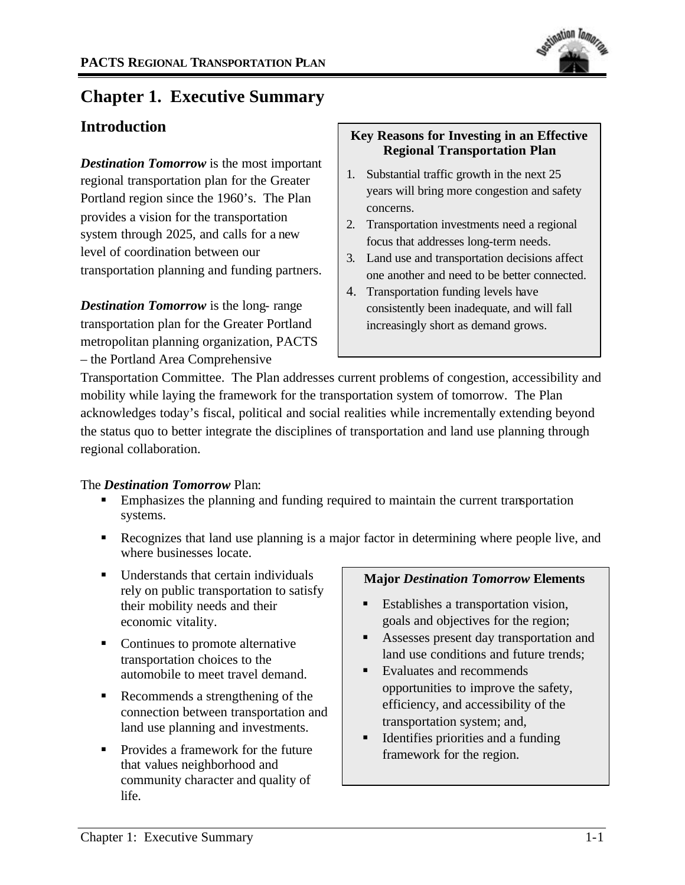

# **Chapter 1. Executive Summary**

## **Introduction**

*Destination Tomorrow* is the most important regional transportation plan for the Greater Portland region since the 1960's. The Plan provides a vision for the transportation system through 2025, and calls for a new level of coordination between our transportation planning and funding partners.

*Destination Tomorrow* is the long- range transportation plan for the Greater Portland metropolitan planning organization, PACTS – the Portland Area Comprehensive

### **Key Reasons for Investing in an Effective Regional Transportation Plan**

- 1. Substantial traffic growth in the next 25 years will bring more congestion and safety concerns.
- 2. Transportation investments need a regional focus that addresses long-term needs.
- 3. Land use and transportation decisions affect one another and need to be better connected.
- 4. Transportation funding levels have consistently been inadequate, and will fall increasingly short as demand grows.

Transportation Committee. The Plan addresses current problems of congestion, accessibility and mobility while laying the framework for the transportation system of tomorrow. The Plan acknowledges today's fiscal, political and social realities while incrementally extending beyond the status quo to better integrate the disciplines of transportation and land use planning through regional collaboration.

### The *Destination Tomorrow* Plan:

- **Emphasizes the planning and funding required to maintain the current transportation** systems.
- Recognizes that land use planning is a major factor in determining where people live, and where businesses locate.
- $\blacksquare$  Understands that certain individuals rely on public transportation to satisfy their mobility needs and their economic vitality.
- Continues to promote alternative transportation choices to the automobile to meet travel demand.
- Recommends a strengthening of the connection between transportation and land use planning and investments.
- Provides a framework for the future that values neighborhood and community character and quality of life.

#### **Major** *Destination Tomorrow* **Elements**

- ß Establishes a transportation vision, goals and objectives for the region;
- ß Assesses present day transportation and land use conditions and future trends;
- ß Evaluates and recommends opportunities to improve the safety, efficiency, and accessibility of the transportation system; and,
- ß Identifies priorities and a funding framework for the region.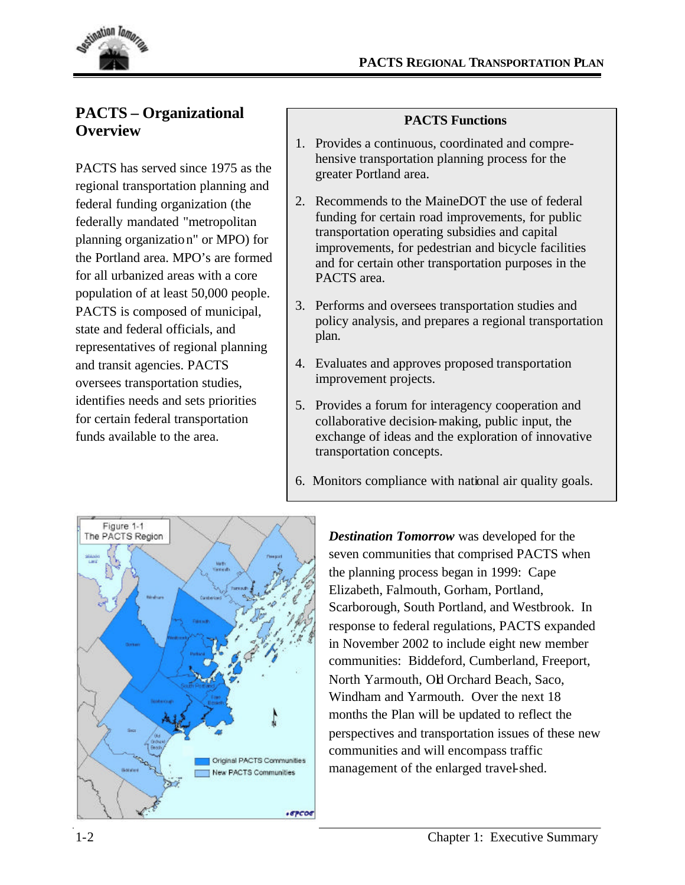

## **PACTS – Organizational Overview**

PACTS has served since 1975 as the regional transportation planning and federal funding organization (the federally mandated "metropolitan planning organization" or MPO) for the Portland area. MPO's are formed for all urbanized areas with a core population of at least 50,000 people. PACTS is composed of municipal, state and federal officials, and representatives of regional planning and transit agencies. PACTS oversees transportation studies, identifies needs and sets priorities for certain federal transportation funds available to the area.

#### **PACTS Functions**

- 1. Provides a continuous, coordinated and comprehensive transportation planning process for the greater Portland area.
- 2. Recommends to the MaineDOT the use of federal funding for certain road improvements, for public transportation operating subsidies and capital improvements, for pedestrian and bicycle facilities and for certain other transportation purposes in the PACTS area.
- 3. Performs and oversees transportation studies and policy analysis, and prepares a regional transportation plan.
- 4. Evaluates and approves proposed transportation improvement projects.
- 5. Provides a forum for interagency cooperation and collaborative decision-making, public input, the exchange of ideas and the exploration of innovative transportation concepts.
- 6. Monitors compliance with national air quality goals.



*Destination Tomorrow* was developed for the seven communities that comprised PACTS when the planning process began in 1999: Cape Elizabeth, Falmouth, Gorham, Portland, Scarborough, South Portland, and Westbrook. In response to federal regulations, PACTS expanded in November 2002 to include eight new member communities: Biddeford, Cumberland, Freeport, North Yarmouth, Old Orchard Beach, Saco, Windham and Yarmouth. Over the next 18 months the Plan will be updated to reflect the perspectives and transportation issues of these new communities and will encompass traffic management of the enlarged travel-shed.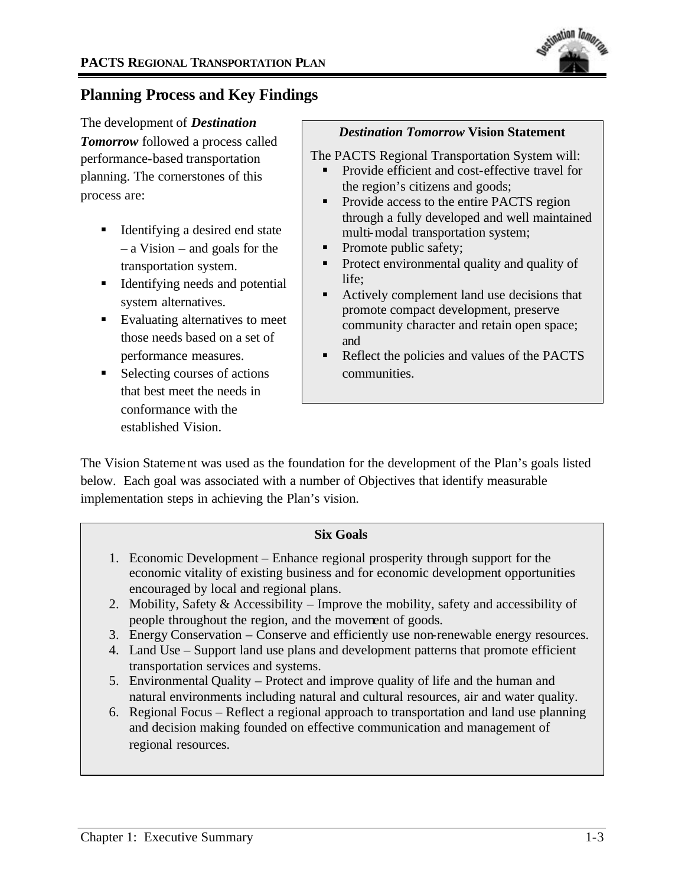

## **Planning Process and Key Findings**

The development of *Destination Tomorrow* followed a process called performance-based transportation planning. The cornerstones of this process are:

- Identifying a desired end state – a Vision – and goals for the transportation system.
- $\blacksquare$  Identifying needs and potential system alternatives.
- $\blacksquare$  Evaluating alternatives to meet those needs based on a set of performance measures.
- ß Selecting courses of actions that best meet the needs in conformance with the established Vision.

#### *Destination Tomorrow* **Vision Statement**

The PACTS Regional Transportation System will:

- Provide efficient and cost-effective travel for the region's citizens and goods;
- Provide access to the entire PACTS region through a fully developed and well maintained multi-modal transportation system;
- Promote public safety;
- Protect environmental quality and quality of life;
- **EXECUTE:** Actively complement land use decisions that promote compact development, preserve community character and retain open space; and
- Reflect the policies and values of the PACTS communities.

The Vision Statement was used as the foundation for the development of the Plan's goals listed below. Each goal was associated with a number of Objectives that identify measurable implementation steps in achieving the Plan's vision.

#### **Six Goals**

- 1. Economic Development Enhance regional prosperity through support for the economic vitality of existing business and for economic development opportunities encouraged by local and regional plans.
- 2. Mobility, Safety & Accessibility Improve the mobility, safety and accessibility of people throughout the region, and the movement of goods.
- 3. Energy Conservation Conserve and efficiently use non-renewable energy resources.
- 4. Land Use Support land use plans and development patterns that promote efficient transportation services and systems.
- 5. Environmental Quality Protect and improve quality of life and the human and natural environments including natural and cultural resources, air and water quality.
- 6. Regional Focus Reflect a regional approach to transportation and land use planning and decision making founded on effective communication and management of regional resources.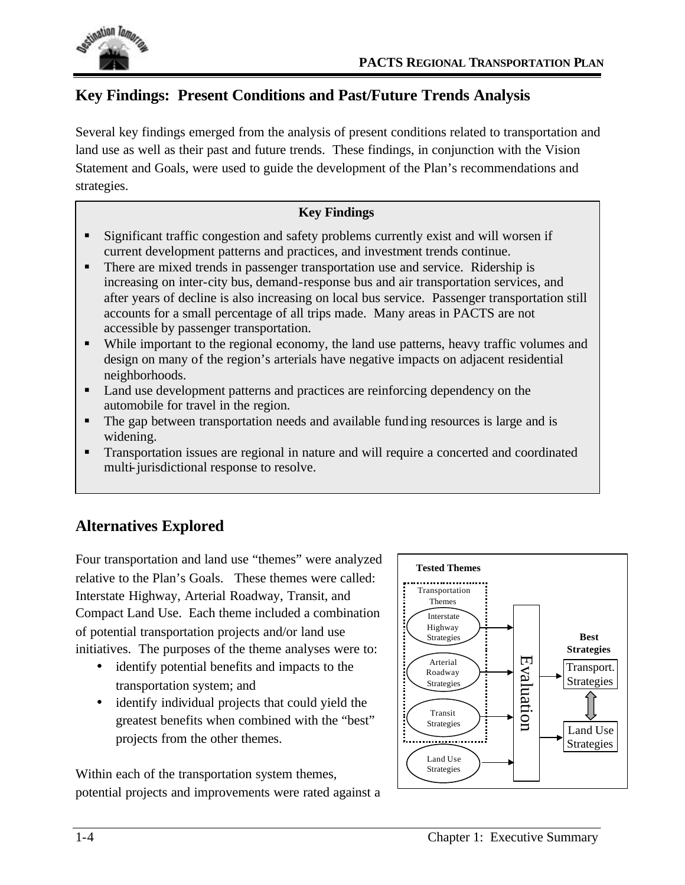

## **Key Findings: Present Conditions and Past/Future Trends Analysis**

Several key findings emerged from the analysis of present conditions related to transportation and land use as well as their past and future trends. These findings, in conjunction with the Vision Statement and Goals, were used to guide the development of the Plan's recommendations and strategies.

### **Key Findings**

- **Significant traffic congestion and safety problems currently exist and will worsen if** current development patterns and practices, and investment trends continue.
- There are mixed trends in passenger transportation use and service. Ridership is increasing on inter-city bus, demand-response bus and air transportation services, and after years of decline is also increasing on local bus service. Passenger transportation still accounts for a small percentage of all trips made. Many areas in PACTS are not accessible by passenger transportation.
- While important to the regional economy, the land use patterns, heavy traffic volumes and design on many of the region's arterials have negative impacts on adjacent residential neighborhoods.
- Land use development patterns and practices are reinforcing dependency on the automobile for travel in the region.
- The gap between transportation needs and available funding resources is large and is widening.
- **Transportation issues are regional in nature and will require a concerted and coordinated** multi-jurisdictional response to resolve.

## **Alternatives Explored**

Four transportation and land use "themes" were analyzed relative to the Plan's Goals. These themes were called: Interstate Highway, Arterial Roadway, Transit, and Compact Land Use. Each theme included a combination of potential transportation projects and/or land use initiatives. The purposes of the theme analyses were to:

- identify potential benefits and impacts to the transportation system; and
- identify individual projects that could yield the greatest benefits when combined with the "best" projects from the other themes.

Within each of the transportation system themes, potential projects and improvements were rated against a

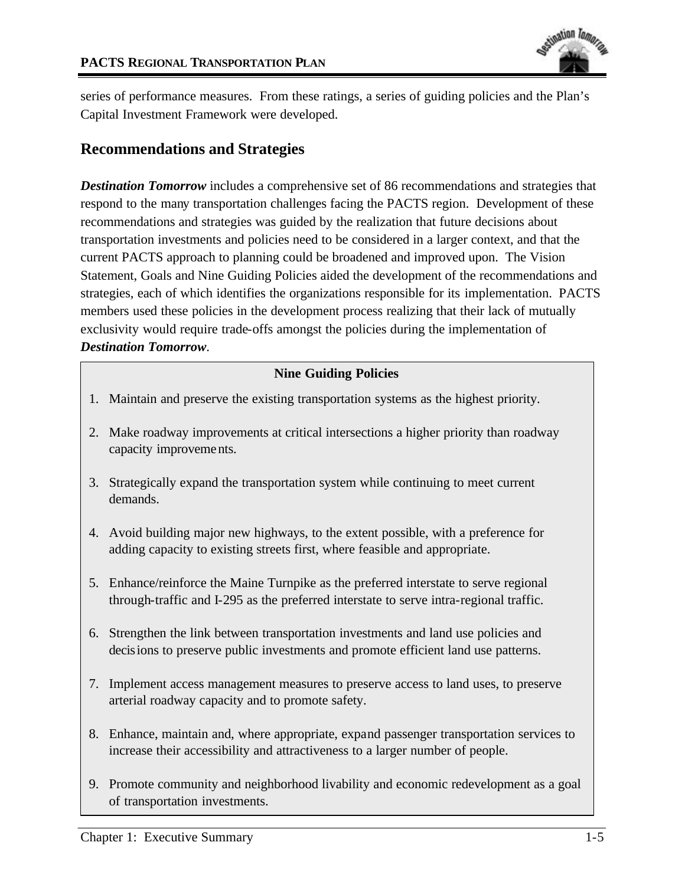

series of performance measures. From these ratings, a series of guiding policies and the Plan's Capital Investment Framework were developed.

## **Recommendations and Strategies**

**Destination Tomorrow** includes a comprehensive set of 86 recommendations and strategies that respond to the many transportation challenges facing the PACTS region. Development of these recommendations and strategies was guided by the realization that future decisions about transportation investments and policies need to be considered in a larger context, and that the current PACTS approach to planning could be broadened and improved upon. The Vision Statement, Goals and Nine Guiding Policies aided the development of the recommendations and strategies, each of which identifies the organizations responsible for its implementation. PACTS members used these policies in the development process realizing that their lack of mutually exclusivity would require trade-offs amongst the policies during the implementation of *Destination Tomorrow*.

### **Nine Guiding Policies**

- 1. Maintain and preserve the existing transportation systems as the highest priority.
- 2. Make roadway improvements at critical intersections a higher priority than roadway capacity improvements.
- 3. Strategically expand the transportation system while continuing to meet current demands.
- 4. Avoid building major new highways, to the extent possible, with a preference for adding capacity to existing streets first, where feasible and appropriate.
- 5. Enhance/reinforce the Maine Turnpike as the preferred interstate to serve regional through-traffic and I-295 as the preferred interstate to serve intra-regional traffic.
- 6. Strengthen the link between transportation investments and land use policies and decisions to preserve public investments and promote efficient land use patterns.
- 7. Implement access management measures to preserve access to land uses, to preserve arterial roadway capacity and to promote safety.
- 8. Enhance, maintain and, where appropriate, expand passenger transportation services to increase their accessibility and attractiveness to a larger number of people.
- 9. Promote community and neighborhood livability and economic redevelopment as a goal of transportation investments.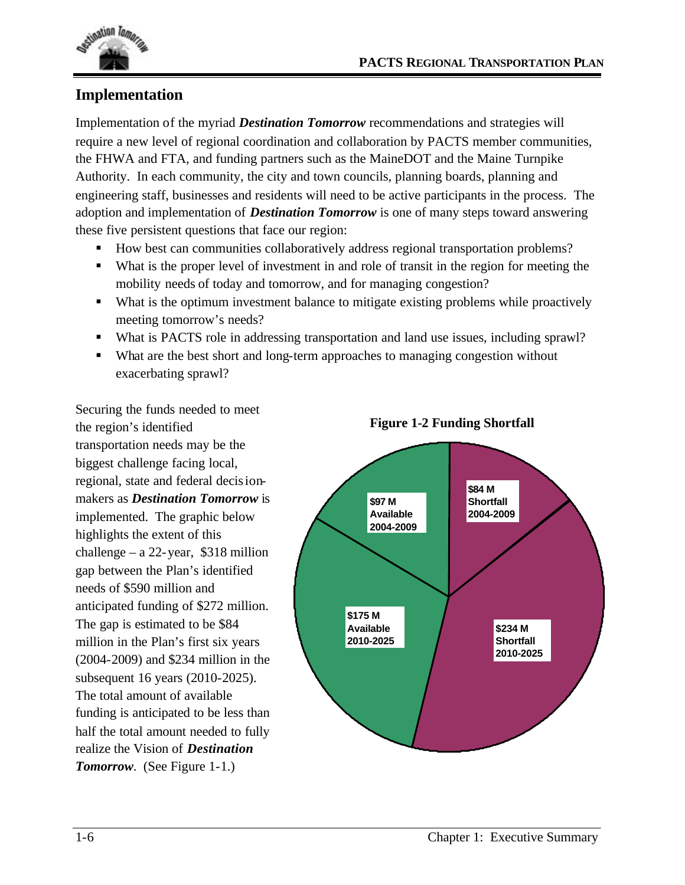

# **Implementation**

Implementation of the myriad *Destination Tomorrow* recommendations and strategies will require a new level of regional coordination and collaboration by PACTS member communities, the FHWA and FTA, and funding partners such as the MaineDOT and the Maine Turnpike Authority. In each community, the city and town councils, planning boards, planning and engineering staff, businesses and residents will need to be active participants in the process. The adoption and implementation of *Destination Tomorrow* is one of many steps toward answering these five persistent questions that face our region:

- How best can communities collaboratively address regional transportation problems?
- ß What is the proper level of investment in and role of transit in the region for meeting the mobility needs of today and tomorrow, and for managing congestion?
- What is the optimum investment balance to mitigate existing problems while proactively meeting tomorrow's needs?
- What is PACTS role in addressing transportation and land use issues, including sprawl?
- What are the best short and long-term approaches to managing congestion without exacerbating sprawl?

Securing the funds needed to meet the region's identified transportation needs may be the biggest challenge facing local, regional, state and federal decisionmakers as *Destination Tomorrow* is implemented. The graphic below highlights the extent of this challenge – a  $22$ -year, \$318 million gap between the Plan's identified needs of \$590 million and anticipated funding of \$272 million. The gap is estimated to be \$84 million in the Plan's first six years (2004-2009) and \$234 million in the subsequent 16 years (2010-2025). The total amount of available funding is anticipated to be less than half the total amount needed to fully realize the Vision of *Destination Tomorrow*. (See Figure 1-1.)



### **Figure 1-2 Funding Shortfall**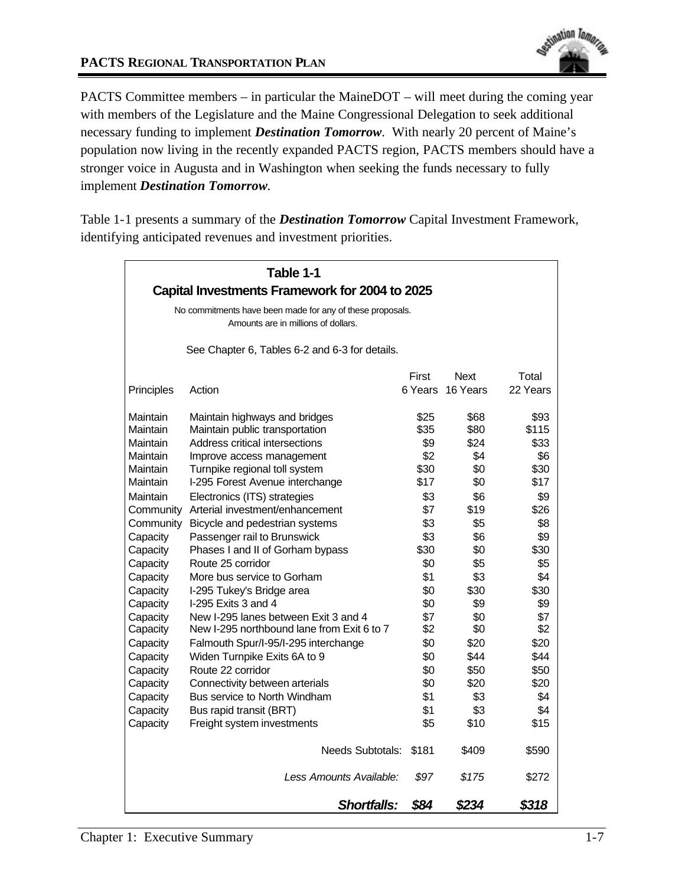PACTS Committee members – in particular the MaineDOT – will meet during the coming year with members of the Legislature and the Maine Congressional Delegation to seek additional necessary funding to implement *Destination Tomorrow*. With nearly 20 percent of Maine's population now living in the recently expanded PACTS region, PACTS members should have a stronger voice in Augusta and in Washington when seeking the funds necessary to fully implement *Destination Tomorrow.*

Table 1-1 presents a summary of the *Destination Tomorrow* Capital Investment Framework, identifying anticipated revenues and investment priorities.

| Table 1-1                                                                                        |                                            |         |          |          |
|--------------------------------------------------------------------------------------------------|--------------------------------------------|---------|----------|----------|
| Capital Investments Framework for 2004 to 2025                                                   |                                            |         |          |          |
| No commitments have been made for any of these proposals.<br>Amounts are in millions of dollars. |                                            |         |          |          |
| See Chapter 6, Tables 6-2 and 6-3 for details.                                                   |                                            |         |          |          |
|                                                                                                  |                                            | First   | Next     | Total    |
| Principles                                                                                       | Action                                     | 6 Years | 16 Years | 22 Years |
| Maintain                                                                                         | Maintain highways and bridges              | \$25    | \$68     | \$93     |
| Maintain                                                                                         | Maintain public transportation             | \$35    | \$80     | \$115    |
| Maintain                                                                                         | Address critical intersections             | \$9     | \$24     | \$33     |
| Maintain                                                                                         | Improve access management                  | \$2     | \$4      | \$6      |
| Maintain                                                                                         | Turnpike regional toll system              | \$30    | \$0      | \$30     |
| Maintain                                                                                         | I-295 Forest Avenue interchange            | \$17    | \$0      | \$17     |
| Maintain                                                                                         | Electronics (ITS) strategies               | \$3     | \$6      | \$9      |
| Community                                                                                        | Arterial investment/enhancement            | \$7     | \$19     | \$26     |
| Community                                                                                        | Bicycle and pedestrian systems             | \$3     | \$5      | \$8      |
| Capacity                                                                                         | Passenger rail to Brunswick                | \$3     | \$6      | \$9      |
| Capacity                                                                                         | Phases I and II of Gorham bypass           | \$30    | \$0      | \$30     |
| Capacity                                                                                         | Route 25 corridor                          | \$0     | \$5      | \$5      |
| Capacity                                                                                         | More bus service to Gorham                 | \$1     | \$3      | \$4      |
| Capacity                                                                                         | I-295 Tukey's Bridge area                  | \$0     | \$30     | \$30     |
| Capacity                                                                                         | I-295 Exits 3 and 4                        | \$0     | \$9      | \$9      |
| Capacity                                                                                         | New I-295 lanes between Exit 3 and 4       | \$7     | \$0      | \$7      |
| Capacity                                                                                         | New I-295 northbound lane from Exit 6 to 7 | \$2     | \$0      | \$2      |
| Capacity                                                                                         | Falmouth Spur/I-95/I-295 interchange       | \$0     | \$20     | \$20     |
| Capacity                                                                                         | Widen Turnpike Exits 6A to 9               | \$0     | \$44     | \$44     |
| Capacity                                                                                         | Route 22 corridor                          | \$0     | \$50     | \$50     |
| Capacity                                                                                         | Connectivity between arterials             | \$0     | \$20     | \$20     |
| Capacity                                                                                         | Bus service to North Windham               | \$1     | \$3      | \$4      |
| Capacity                                                                                         | Bus rapid transit (BRT)                    | \$1     | \$3      | \$4      |
| Capacity                                                                                         | Freight system investments                 | \$5     | \$10     | \$15     |
|                                                                                                  | <b>Needs Subtotals:</b>                    | \$181   | \$409    | \$590    |
|                                                                                                  | Less Amounts Available:                    | \$97    | \$175    | \$272    |
|                                                                                                  | Shortfalls:                                | \$84    | \$234    | \$318    |